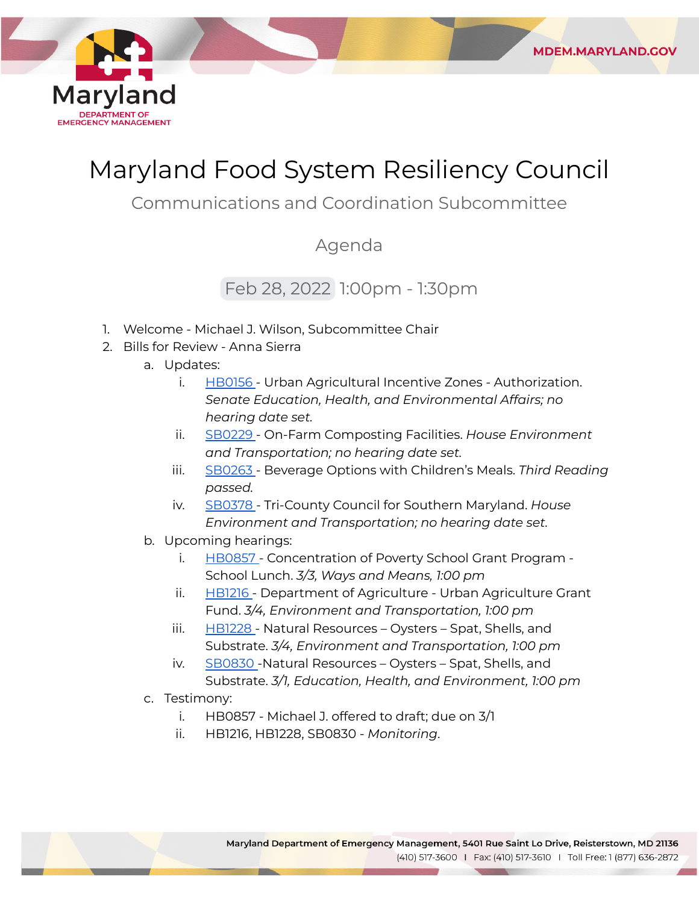

# Maryland Food System Resiliency Council

**MDEM.MARYLAND.GOV** 

Communications and Coordination Subcommittee

# Agenda

# Feb 28, 2022 1:00pm - 1:30pm

- 1. Welcome Michael J. Wilson, Subcommittee Chair
- 2. Bills for Review Anna Sierra
	- a. Updates:
		- i. [HB0156](https://mgaleg.maryland.gov/mgawebsite/Legislation/Details/hb0156?ys=2022RS) Urban Agricultural Incentive Zones Authorization.  *Senate Education, Health, and Environmental Affairs; no hearing date set.*
		- ii. [SB0229](https://mgaleg.maryland.gov/mgawebsite/Legislation/Details/sb0229?ys=2022RS) On-Farm Composting Facilities. *House Environment and Transportation; no hearing date set.*
		- iii. [SB0263](https://mgaleg.maryland.gov/mgawebsite/Legislation/Details/sb0263?ys=2022RS) Beverage Options with Children's Meals. *Third Reading passed.*
		- iv. [SB0378](https://mgaleg.maryland.gov/mgawebsite/Legislation/Details/sb0378?ys=2022RS) Tri-County Council for Southern Maryland. *House Environment and Transportation; no hearing date set.*
	- b. Upcoming hearings:
		- i. [HB0857](https://mgaleg.maryland.gov/mgawebsite/Legislation/Details/hb0857?ys=2022RS) Concentration of Poverty School Grant Program - School Lunch. *3/3, Ways and Means, 1:00 pm*
		- ii. [HB1216](https://mgaleg.maryland.gov/mgawebsite/Legislation/Details/hb1216?ys=2022RS) Department of Agriculture Urban Agriculture Grant  Fund. *3/4, Environment and Transportation, 1:00 pm*
		- iii. [HB1228](https://mgaleg.maryland.gov/mgawebsite/Legislation/Details/hb1228?ys=2022RS) Natural Resources Oysters Spat, Shells, and  Substrate. *3/4, Environment and Transportation, 1:00 pm*
		- iv. [SB0830](https://mgaleg.maryland.gov/mgawebsite/Legislation/Details/SB0830?ys=2022RS) Natural Resources Oysters Spat, Shells, and  Substrate. *3/1, Education, Health, and Environment, 1:00 pm*
	- c. Testimony:
		- i. HB0857 Michael J. offered to draft; due on 3/1
		- ii. HB1216, HB1228, SB0830 *Monitoring*.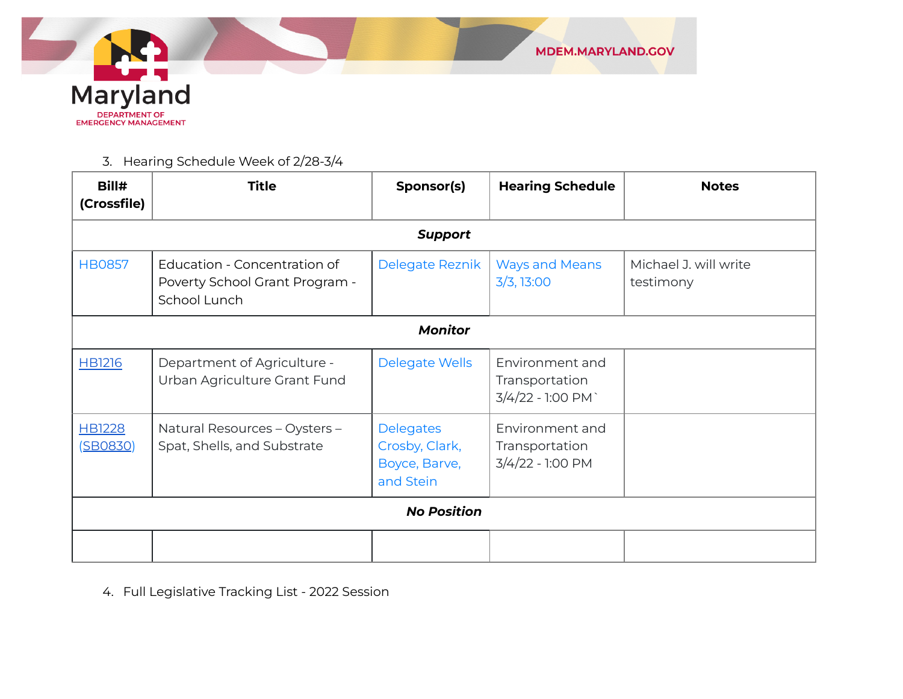

3. Hearing Schedule Week of 2/28-3/4

| Bill#<br>(Crossfile)      | <b>Title</b>                                                                   | Sponsor(s)                                                       | <b>Hearing Schedule</b>                               | <b>Notes</b>                       |  |  |  |
|---------------------------|--------------------------------------------------------------------------------|------------------------------------------------------------------|-------------------------------------------------------|------------------------------------|--|--|--|
|                           | <b>Support</b>                                                                 |                                                                  |                                                       |                                    |  |  |  |
| <b>HB0857</b>             | Education - Concentration of<br>Poverty School Grant Program -<br>School Lunch | Delegate Reznik                                                  | <b>Ways and Means</b><br>3/3, 13:00                   | Michael J. will write<br>testimony |  |  |  |
|                           | <b>Monitor</b>                                                                 |                                                                  |                                                       |                                    |  |  |  |
| <b>HB1216</b>             | Department of Agriculture -<br>Urban Agriculture Grant Fund                    | <b>Delegate Wells</b>                                            | Environment and<br>Transportation<br>3/4/22 - 1:00 PM |                                    |  |  |  |
| <b>HB1228</b><br>(SB0830) | Natural Resources - Oysters -<br>Spat, Shells, and Substrate                   | <b>Delegates</b><br>Crosby, Clark,<br>Boyce, Barve,<br>and Stein | Environment and<br>Transportation<br>3/4/22 - 1:00 PM |                                    |  |  |  |
|                           | <b>No Position</b>                                                             |                                                                  |                                                       |                                    |  |  |  |
|                           |                                                                                |                                                                  |                                                       |                                    |  |  |  |

4. Full Legislative Tracking List - 2022 Session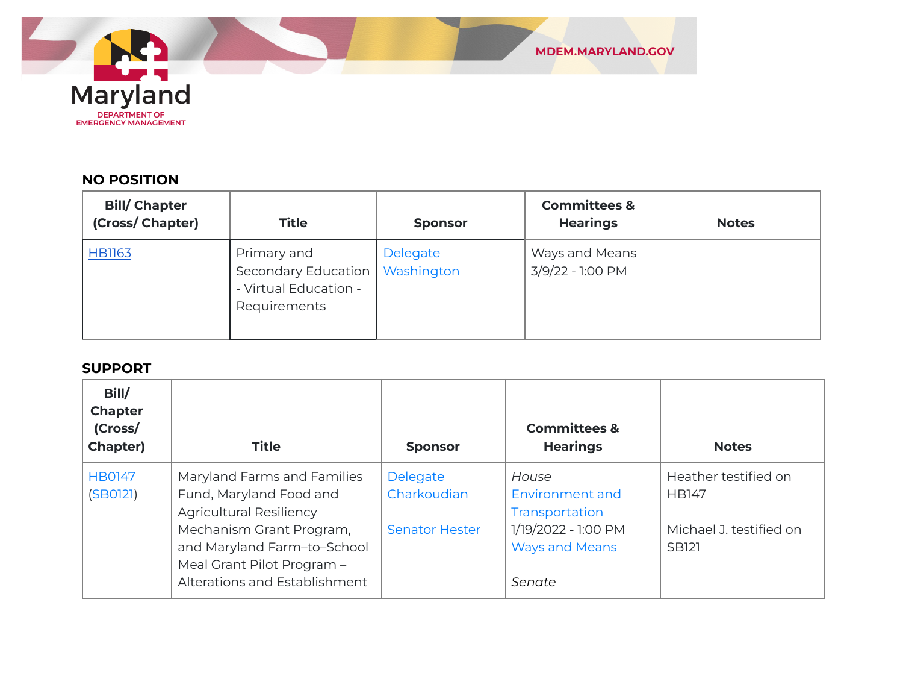

### **NO POSITION**

| <b>Bill/Chapter</b><br>(Cross/ Chapter) | <b>Title</b>                                                                             | <b>Sponsor</b> | <b>Committees &amp;</b><br><b>Hearings</b> | <b>Notes</b> |
|-----------------------------------------|------------------------------------------------------------------------------------------|----------------|--------------------------------------------|--------------|
| <b>HB1163</b>                           | Primary and<br>Secondary Education   Washington<br>- Virtual Education -<br>Requirements | Delegate       | Ways and Means<br>3/9/22 - 1:00 PM         |              |

#### **SUPPORT**

| Bill/<br><b>Chapter</b><br>(Cross/<br>Chapter) | <b>Title</b>                                                                                                           | <b>Sponsor</b>          | <b>Committees &amp;</b><br><b>Hearings</b>             | <b>Notes</b>                            |
|------------------------------------------------|------------------------------------------------------------------------------------------------------------------------|-------------------------|--------------------------------------------------------|-----------------------------------------|
| <b>HB0147</b><br>(SB0121)                      | Maryland Farms and Families<br>Fund, Maryland Food and<br><b>Agricultural Resiliency</b>                               | Delegate<br>Charkoudian | House<br><b>Environment and</b><br>Transportation      | Heather testified on<br><b>HB147</b>    |
|                                                | Mechanism Grant Program,<br>and Maryland Farm-to-School<br>Meal Grant Pilot Program -<br>Alterations and Establishment | <b>Senator Hester</b>   | 1/19/2022 - 1:00 PM<br><b>Ways and Means</b><br>Senate | Michael J. testified on<br><b>SB121</b> |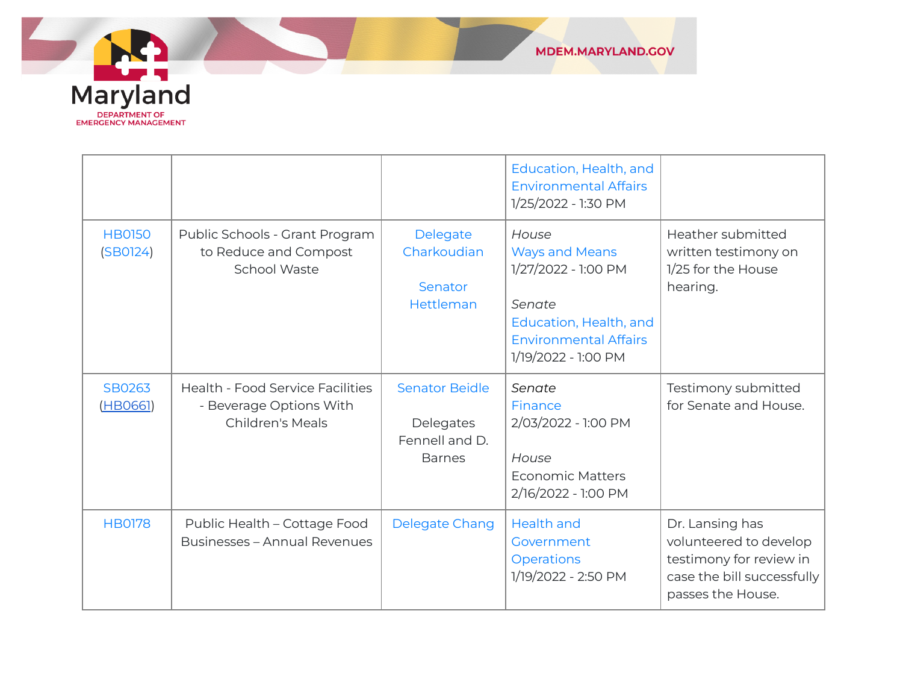

|                           |                                                                                        |                                                                       | Education, Health, and<br><b>Environmental Affairs</b><br>1/25/2022 - 1:30 PM                                                                    |                                                                                                                         |
|---------------------------|----------------------------------------------------------------------------------------|-----------------------------------------------------------------------|--------------------------------------------------------------------------------------------------------------------------------------------------|-------------------------------------------------------------------------------------------------------------------------|
| <b>HB0150</b><br>(SBO124) | Public Schools - Grant Program<br>to Reduce and Compost<br>School Waste                | Delegate<br>Charkoudian<br>Senator<br>Hettleman                       | House<br><b>Ways and Means</b><br>1/27/2022 - 1:00 PM<br>Senate<br>Education, Health, and<br><b>Environmental Affairs</b><br>1/19/2022 - 1:00 PM | Heather submitted<br>written testimony on<br>1/25 for the House<br>hearing.                                             |
| SB0263<br>(HB0661)        | <b>Health - Food Service Facilities</b><br>- Beverage Options With<br>Children's Meals | <b>Senator Beidle</b><br>Delegates<br>Fennell and D.<br><b>Barnes</b> | Senate<br><b>Finance</b><br>2/03/2022 - 1:00 PM<br>House<br><b>Economic Matters</b><br>2/16/2022 - 1:00 PM                                       | Testimony submitted<br>for Senate and House.                                                                            |
| <b>HB0178</b>             | Public Health - Cottage Food<br><b>Businesses - Annual Revenues</b>                    | Delegate Chang                                                        | <b>Health and</b><br>Government<br>Operations<br>1/19/2022 - 2:50 PM                                                                             | Dr. Lansing has<br>volunteered to develop<br>testimony for review in<br>case the bill successfully<br>passes the House. |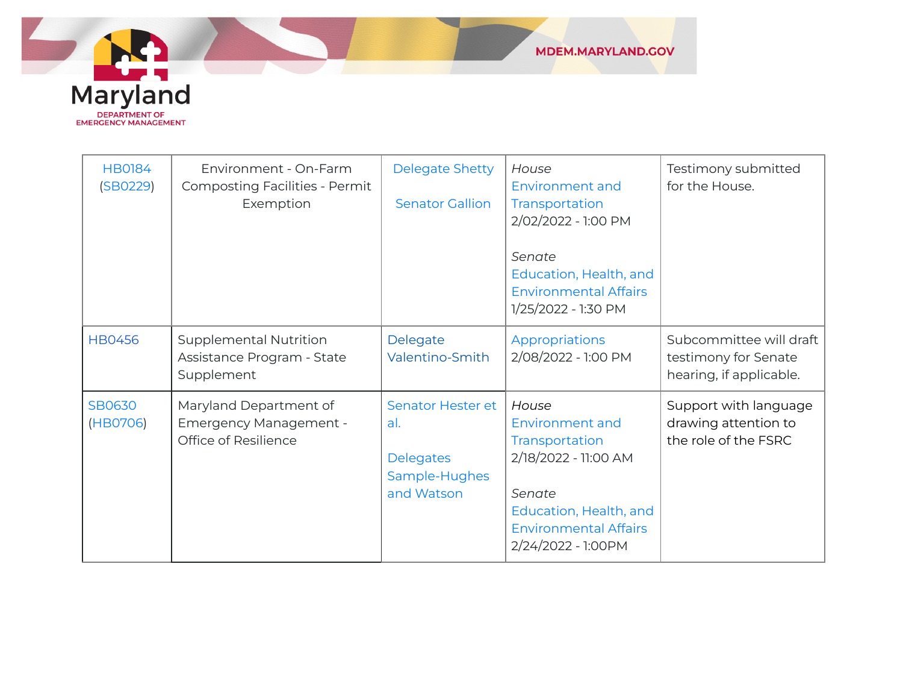

| <b>HB0184</b><br>(SB0229) | Environment - On-Farm<br><b>Composting Facilities - Permit</b><br>Exemption     | <b>Delegate Shetty</b><br><b>Senator Gallion</b>                                   | House<br>Environment and<br>Transportation<br>2/02/2022 - 1:00 PM<br>Senate<br>Education, Health, and<br><b>Environmental Affairs</b><br>1/25/2022 - 1:30 PM | Testimony submitted<br>for the House.                                      |
|---------------------------|---------------------------------------------------------------------------------|------------------------------------------------------------------------------------|--------------------------------------------------------------------------------------------------------------------------------------------------------------|----------------------------------------------------------------------------|
| <b>HB0456</b>             | <b>Supplemental Nutrition</b><br>Assistance Program - State<br>Supplement       | Delegate<br>Valentino-Smith                                                        | Appropriations<br>2/08/2022 - 1:00 PM                                                                                                                        | Subcommittee will draft<br>testimony for Senate<br>hearing, if applicable. |
| <b>SB0630</b><br>(HB0706) | Maryland Department of<br><b>Emergency Management -</b><br>Office of Resilience | <b>Senator Hester et</b><br>al.<br><b>Delegates</b><br>Sample-Hughes<br>and Watson | House<br>Environment and<br>Transportation<br>2/18/2022 - 11:00 AM<br>Senate<br>Education, Health, and<br><b>Environmental Affairs</b><br>2/24/2022 - 1:00PM | Support with language<br>drawing attention to<br>the role of the FSRC      |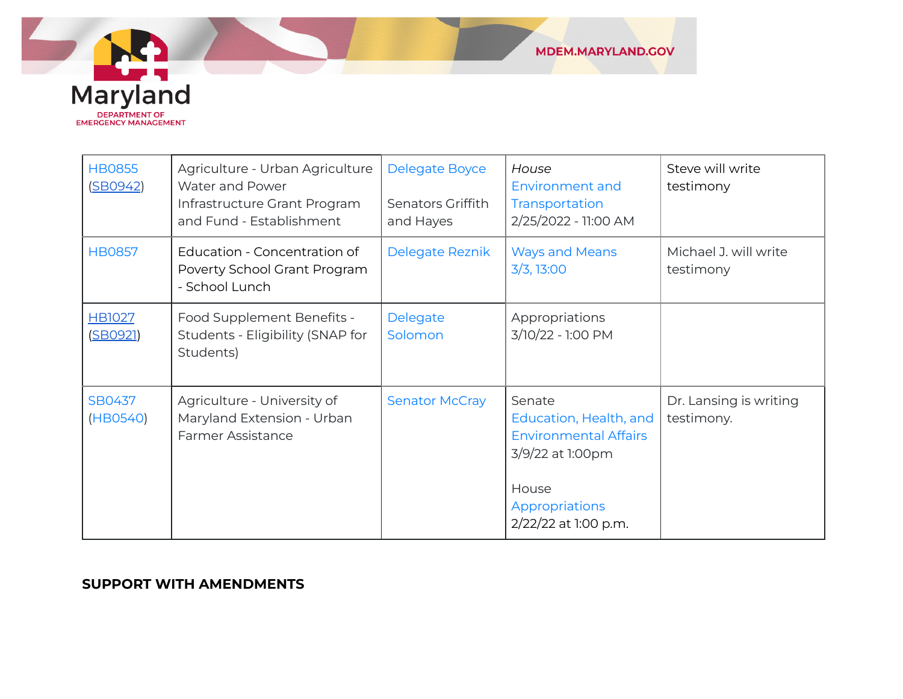

| <b>HB0855</b><br>(SBO942) | Agriculture - Urban Agriculture<br>Water and Power<br>Infrastructure Grant Program<br>and Fund - Establishment | <b>Delegate Boyce</b><br>Senators Griffith<br>and Hayes | House<br><b>Environment and</b><br>Transportation<br>2/25/2022 - 11:00 AM                                                               | Steve will write<br>testimony        |
|---------------------------|----------------------------------------------------------------------------------------------------------------|---------------------------------------------------------|-----------------------------------------------------------------------------------------------------------------------------------------|--------------------------------------|
| <b>HB0857</b>             | Education - Concentration of<br>Poverty School Grant Program<br>- School Lunch                                 | Delegate Reznik                                         | <b>Ways and Means</b><br>3/3, 13:00                                                                                                     | Michael J. will write<br>testimony   |
| <b>HB1027</b><br>(SBO921) | Food Supplement Benefits -<br>Students - Eligibility (SNAP for<br>Students)                                    | Delegate<br>Solomon                                     | Appropriations<br>3/10/22 - 1:00 PM                                                                                                     |                                      |
| SB0437<br>(HB0540)        | Agriculture - University of<br>Maryland Extension - Urban<br><b>Farmer Assistance</b>                          | <b>Senator McCray</b>                                   | Senate<br>Education, Health, and<br><b>Environmental Affairs</b><br>3/9/22 at 1:00pm<br>House<br>Appropriations<br>2/22/22 at 1:00 p.m. | Dr. Lansing is writing<br>testimony. |

#### **SUPPORT WITH AMENDMENTS**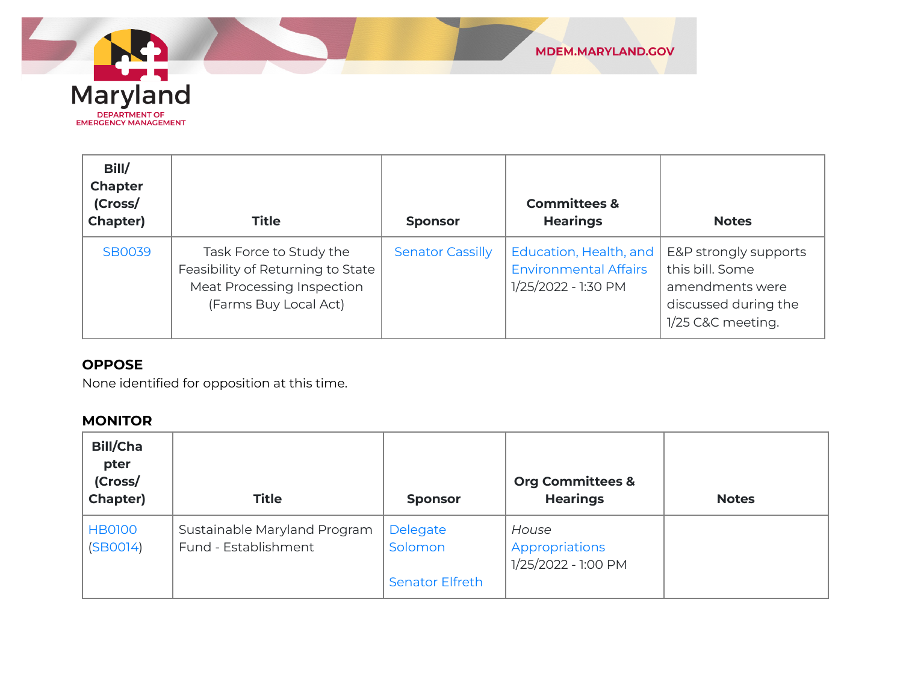

| Bill/<br><b>Chapter</b><br>(Cross/<br>Chapter) | <b>Title</b>                                                                                                               | <b>Sponsor</b>          | <b>Committees &amp;</b><br><b>Hearings</b>                                    | <b>Notes</b>                                                                                             |
|------------------------------------------------|----------------------------------------------------------------------------------------------------------------------------|-------------------------|-------------------------------------------------------------------------------|----------------------------------------------------------------------------------------------------------|
| <b>SB0039</b>                                  | Task Force to Study the<br>Feasibility of Returning to State<br><b>Meat Processing Inspection</b><br>(Farms Buy Local Act) | <b>Senator Cassilly</b> | Education, Health, and<br><b>Environmental Affairs</b><br>1/25/2022 - 1:30 PM | E&P strongly supports<br>this bill. Some<br>amendments were<br>discussed during the<br>1/25 C&C meeting. |

## **OPPOSE**

None identified for opposition at this time.

## **MONITOR**

| <b>Bill/Cha</b><br>pter<br>(Cross/<br>Chapter) | <b>Title</b>                                         | <b>Sponsor</b>                                | <b>Org Committees &amp;</b><br><b>Hearings</b> | <b>Notes</b> |
|------------------------------------------------|------------------------------------------------------|-----------------------------------------------|------------------------------------------------|--------------|
| <b>HB0100</b><br>(SBOO14)                      | Sustainable Maryland Program<br>Fund - Establishment | Delegate<br>Solomon<br><b>Senator Elfreth</b> | House<br>Appropriations<br>1/25/2022 - 1:00 PM |              |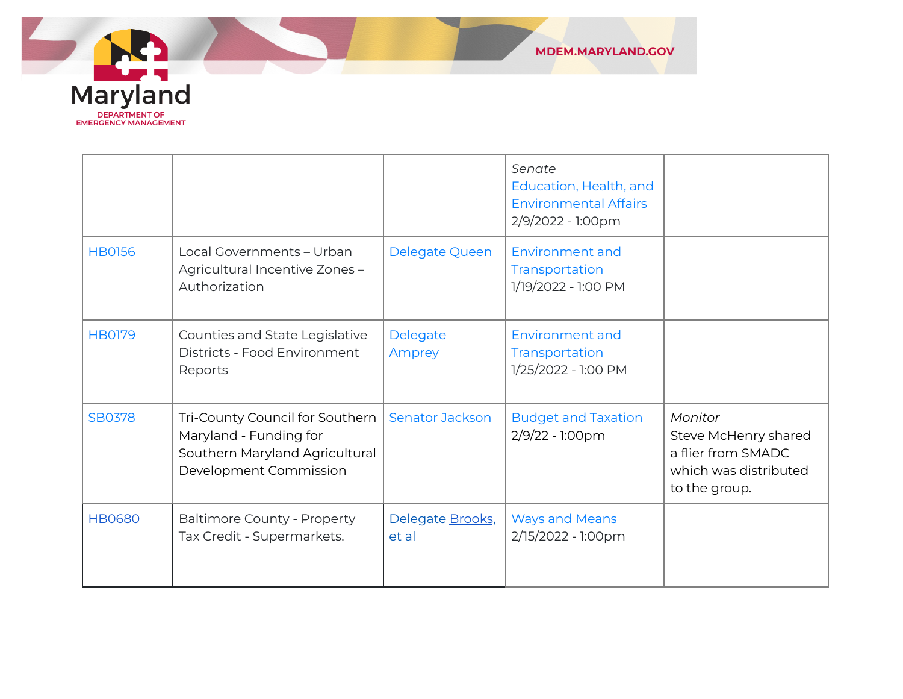

|               |                                                                                                                       |                           | Senate<br>Education, Health, and<br><b>Environmental Affairs</b><br>2/9/2022 - 1:00pm |                                                                                                 |
|---------------|-----------------------------------------------------------------------------------------------------------------------|---------------------------|---------------------------------------------------------------------------------------|-------------------------------------------------------------------------------------------------|
| <b>HB0156</b> | Local Governments - Urban<br>Agricultural Incentive Zones-<br>Authorization                                           | Delegate Queen            | Environment and<br>Transportation<br>1/19/2022 - 1:00 PM                              |                                                                                                 |
| <b>HB0179</b> | Counties and State Legislative<br>Districts - Food Environment<br>Reports                                             | Delegate<br>Amprey        | <b>Environment and</b><br>Transportation<br>1/25/2022 - 1:00 PM                       |                                                                                                 |
| <b>SB0378</b> | Tri-County Council for Southern<br>Maryland - Funding for<br>Southern Maryland Agricultural<br>Development Commission | <b>Senator Jackson</b>    | <b>Budget and Taxation</b><br>2/9/22 - 1:00pm                                         | Monitor<br>Steve McHenry shared<br>a flier from SMADC<br>which was distributed<br>to the group. |
| <b>HB0680</b> | <b>Baltimore County - Property</b><br>Tax Credit - Supermarkets.                                                      | Delegate Brooks,<br>et al | <b>Ways and Means</b><br>2/15/2022 - 1:00pm                                           |                                                                                                 |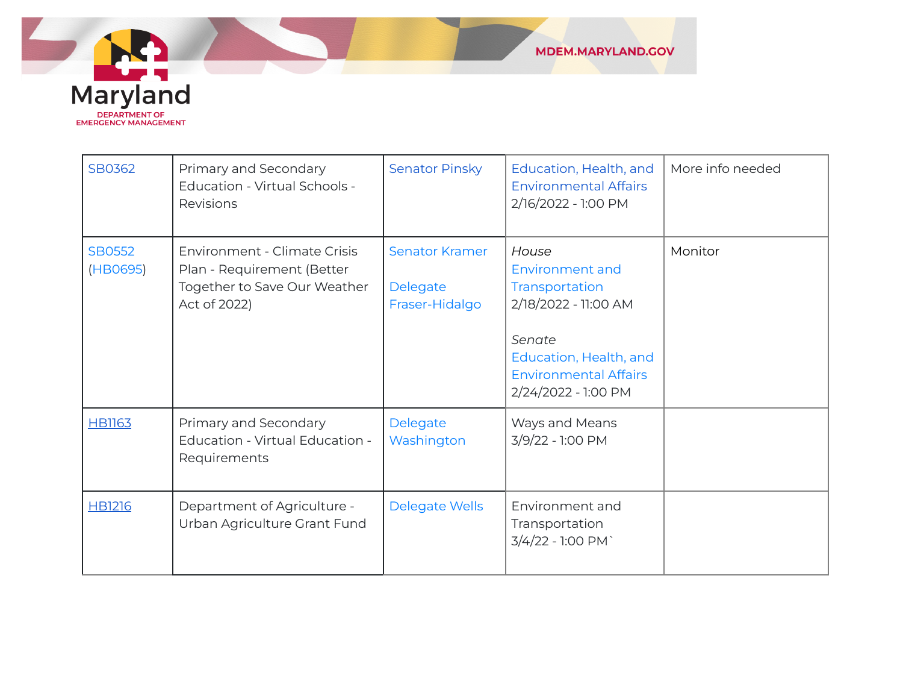

| SB0362                    | Primary and Secondary<br>Education - Virtual Schools -<br>Revisions                                               | <b>Senator Pinsky</b>                               | Education, Health, and<br><b>Environmental Affairs</b><br>2/16/2022 - 1:00 PM                                                                                        | More info needed |
|---------------------------|-------------------------------------------------------------------------------------------------------------------|-----------------------------------------------------|----------------------------------------------------------------------------------------------------------------------------------------------------------------------|------------------|
| <b>SB0552</b><br>(HB0695) | <b>Environment - Climate Crisis</b><br>Plan - Requirement (Better<br>Together to Save Our Weather<br>Act of 2022) | <b>Senator Kramer</b><br>Delegate<br>Fraser-Hidalgo | House<br><b>Environment and</b><br>Transportation<br>2/18/2022 - 11:00 AM<br>Senate<br>Education, Health, and<br><b>Environmental Affairs</b><br>2/24/2022 - 1:00 PM | Monitor          |
| <b>HB1163</b>             | Primary and Secondary<br>Education - Virtual Education -<br>Requirements                                          | Delegate<br>Washington                              | Ways and Means<br>3/9/22 - 1:00 PM                                                                                                                                   |                  |
| <b>HB1216</b>             | Department of Agriculture -<br>Urban Agriculture Grant Fund                                                       | <b>Delegate Wells</b>                               | Environment and<br>Transportation<br>3/4/22 - 1:00 PM                                                                                                                |                  |